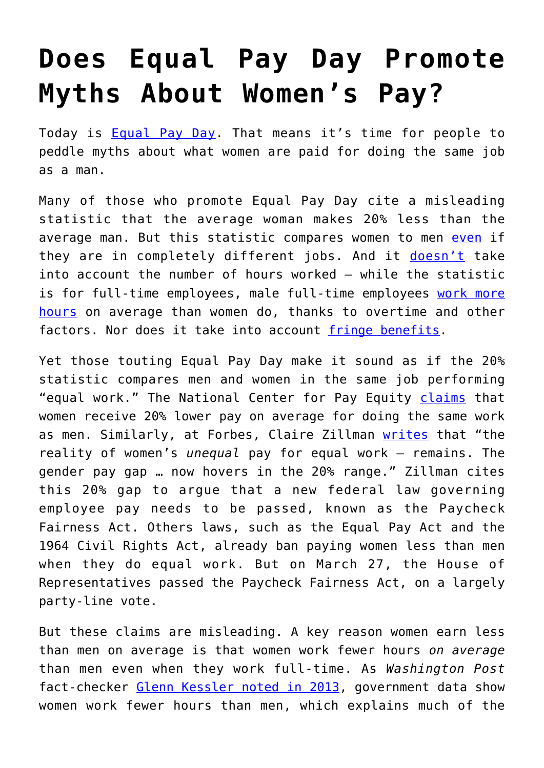## **[Does Equal Pay Day Promote](https://intellectualtakeout.org/2019/04/does-equal-pay-day-promote-myths-about-womens-pay/) [Myths About Women's Pay?](https://intellectualtakeout.org/2019/04/does-equal-pay-day-promote-myths-about-womens-pay/)**

Today is **[Equal Pay Day](https://www.pay-equity.org/day.html)**. That means it's time for people to peddle myths about what women are paid for doing the same job as a man.

Many of those who promote Equal Pay Day cite a misleading statistic that the average woman makes 20% less than the average man. But this statistic compares women to men [even](https://www.jec.senate.gov/public/_cache/files/2a1f8ad4-f649-4ad3-a742-268d946962db/furchtgott-roth-testimony.pdf) if they are in completely different jobs. And it [doesn't](https://www.jec.senate.gov/public/_cache/files/2a1f8ad4-f649-4ad3-a742-268d946962db/furchtgott-roth-testimony.pdf) take into account the number of hours worked — while the statistic is for full-time employees, male full-time employees [work more](https://www.cbsnews.com/news/the-gender-pay-gap-is-a-complete-myth/) [hours](https://www.cbsnews.com/news/the-gender-pay-gap-is-a-complete-myth/) on average than women do, thanks to overtime and other factors. Nor does it take into account [fringe benefits](https://www.jec.senate.gov/public/_cache/files/2a1f8ad4-f649-4ad3-a742-268d946962db/furchtgott-roth-testimony.pdf).

Yet those touting Equal Pay Day make it sound as if the 20% statistic compares men and women in the same job performing "equal work." The National Center for Pay Equity [claims](https://www.realclearmarkets.com/articles/2017/04/04/equal_pay_day_commemorates_a_mythical_gender_pay_gap_102615.html#pq=4ZAFs1) that women receive 20% lower pay on average for doing the same work as men. Similarly, at Forbes, Claire Zillman [writes](http://fortune.com/2019/04/02/equal-pay-paycheck-fairness-act/?xid=gn_editorspicks) that "the reality of women's *unequal* pay for equal work — remains. The gender pay gap … now hovers in the 20% range." Zillman cites this 20% gap to argue that a new federal law governing employee pay needs to be passed, known as the Paycheck Fairness Act. Others laws, such as the Equal Pay Act and the 1964 Civil Rights Act, already ban paying women less than men when they do equal work. But on March 27, the House of Representatives passed the Paycheck Fairness Act, on a largely party-line vote.

But these claims are misleading. A key reason women earn less than men on average is that women work fewer hours *on average* than men even when they work full-time. As *Washington Post* fact-checker [Glenn Kessler noted in 2013,](http://www.washingtonpost.com/blogs/fact-checker/post/fact-checking-the-2013-state-of-the-union-speech/2013/02/12/ce69a4e0-7589-11e2-95e4-6148e45d7adb_blog.html) government data show women work fewer hours than men, which explains much of the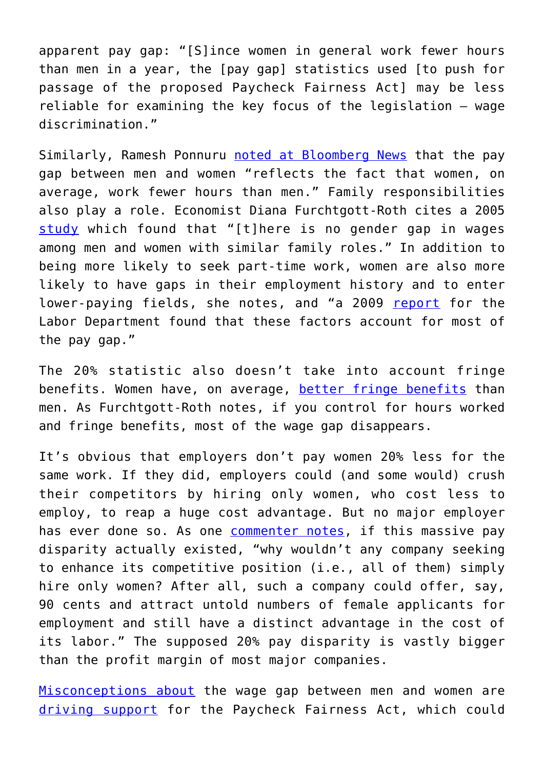apparent pay gap: "[S]ince women in general work fewer hours than men in a year, the [pay gap] statistics used [to push for passage of the proposed Paycheck Fairness Act] may be less reliable for examining the key focus of the legislation — wage discrimination."

Similarly, Ramesh Ponnuru [noted at Bloomberg News](http://www.bloomberg.com/news/2012-08-13/don-t-blame-discrimination-for-gender-wage-gap.html) that the pay gap between men and women "reflects the fact that women, on average, work fewer hours than men." Family responsibilities also play a role. Economist Diana Furchtgott-Roth cites a 2005 [study](http://www.nber.org/papers/w11240.pdf) which found that "[t]here is no gender gap in wages among men and women with similar family roles." In addition to being more likely to seek part-time work, women are also more likely to have gaps in their employment history and to enter lower-paying fields, she notes, and "a 2009 [report](http://templatelab.com/gender-wage-gap-final-report/) for the Labor Department found that these factors account for most of the pay gap."

The 20% statistic also doesn't take into account fringe benefits. Women have, on average, [better fringe benefits](https://www.jec.senate.gov/public/_cache/files/2a1f8ad4-f649-4ad3-a742-268d946962db/furchtgott-roth-testimony.pdf) than men. As Furchtgott-Roth notes, if you control for hours worked and fringe benefits, most of the wage gap disappears.

It's obvious that employers don't pay women 20% less for the same work. If they did, employers could (and some would) crush their competitors by hiring only women, who cost less to employ, to reap a huge cost advantage. But no major employer has ever done so. As one **[commenter notes](http://www.realclearmarkets.com/articles/2013/06/18/women_and_the_unequal_pay_myth_100407.html#comment-934216359)**, if this massive pay disparity actually existed, "why wouldn't any company seeking to enhance its competitive position (i.e., all of them) simply hire only women? After all, such a company could offer, say, 90 cents and attract untold numbers of female applicants for employment and still have a distinct advantage in the cost of its labor." The supposed 20% pay disparity is vastly bigger than the profit margin of most major companies.

[Misconceptions about](http://www.fed-soc.org/publications/detail/misconceptions-about-ledbetter-v-goodyear-tire-rubber-co) the wage gap between men and women are [driving support](http://www.fed-soc.org/publications/detail/misconceptions-about-ledbetter-v-goodyear-tire-rubber-co) for the Paycheck Fairness Act, which could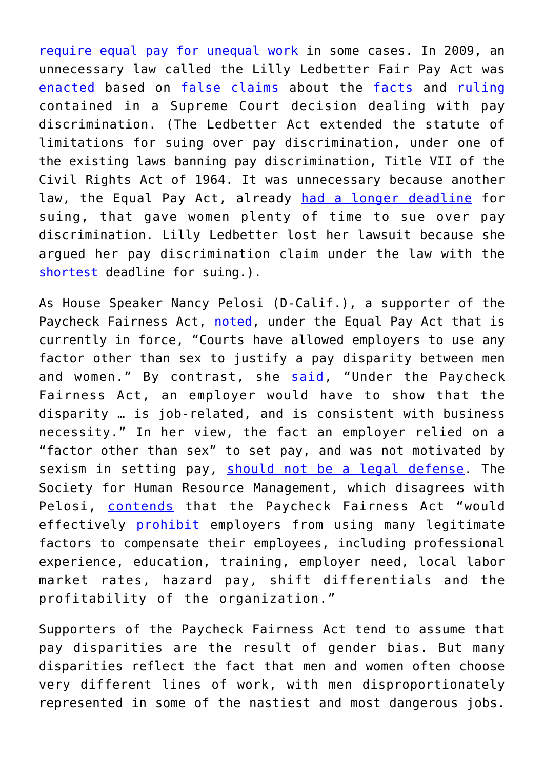[require equal pay for unequal work](http://www.examiner.com/article/paycheck-fairness-act-is-unfair-and-would-force-employers-to-ignore-inequalities) in some cases. In 2009, an unnecessary law called the Lilly Ledbetter Fair Pay Act was [enacted](http://www.openmarket.org/2009/01/29/obama-rewrites-history-by-distorting-ledbetter-ruling/) based on [false claims](https://fedsoc.org/commentary/publications/misconceptions-about-ledbetter-v-goodyear-tire-rubber-co) about the [facts](http://www.openmarket.org/2009/01/29/obama-rewrites-history-by-distorting-ledbetter-ruling/) and [ruling](http://www.openmarket.org/2009/01/27/white-house-distorts-court-ruling-in-ledbetter-case/) contained in a Supreme Court decision dealing with pay discrimination. (The Ledbetter Act extended the statute of limitations for suing over pay discrimination, under one of the existing laws banning pay discrimination, Title VII of the Civil Rights Act of 1964. It was unnecessary because another law, the Equal Pay Act, already [had a longer deadline](https://fedsoc.org/commentary/publications/misconceptions-about-ledbetter-v-goodyear-tire-rubber-co) for suing, that gave women plenty of time to sue over pay discrimination. Lilly Ledbetter lost her lawsuit because she argued her pay discrimination claim under the law with the [shortest](https://fedsoc.org/commentary/publications/misconceptions-about-ledbetter-v-goodyear-tire-rubber-co) deadline for suing.).

As House Speaker Nancy Pelosi (D-Calif.), a supporter of the Paycheck Fairness Act, [noted](http://www.openmarket.org/2013/02/13/obama-renews-call-for-paycheck-fairness-act/www.democraticleader.gov/floor?id=0269), under the Equal Pay Act that is currently in force, "Courts have allowed employers to use any factor other than sex to justify a pay disparity between men and women." By contrast, she [said](http://www.openmarket.org/2013/02/13/obama-renews-call-for-paycheck-fairness-act/www.democraticleader.gov/floor?id=0269), "Under the Paycheck Fairness Act, an employer would have to show that the disparity … is job-related, and is consistent with business necessity." In her view, the fact an employer relied on a "factor other than sex" to set pay, and was not motivated by sexism in setting pay, [should not be a legal defense](http://www.fed-soc.org/publications/detail/misconceptions-about-ledbetter-v-goodyear-tire-rubber-co). The Society for Human Resource Management, which disagrees with Pelosi, [contends](http://www.openmarket.org/2013/02/13/obama-renews-call-for-paycheck-fairness-act/www.hrmorning.com/hr-pros-rally-against-paycheck-fairness-act-passage/) that the Paycheck Fairness Act "would effectively [prohibit](http://www.fed-soc.org/publications/detail/misconceptions-about-ledbetter-v-goodyear-tire-rubber-co) employers from using many legitimate factors to compensate their employees, including professional experience, education, training, employer need, local labor market rates, hazard pay, shift differentials and the profitability of the organization."

Supporters of the Paycheck Fairness Act tend to assume that pay disparities are the result of gender bias. But many disparities reflect the fact that men and women often choose very different lines of work, with men disproportionately represented in some of the nastiest and most dangerous jobs.